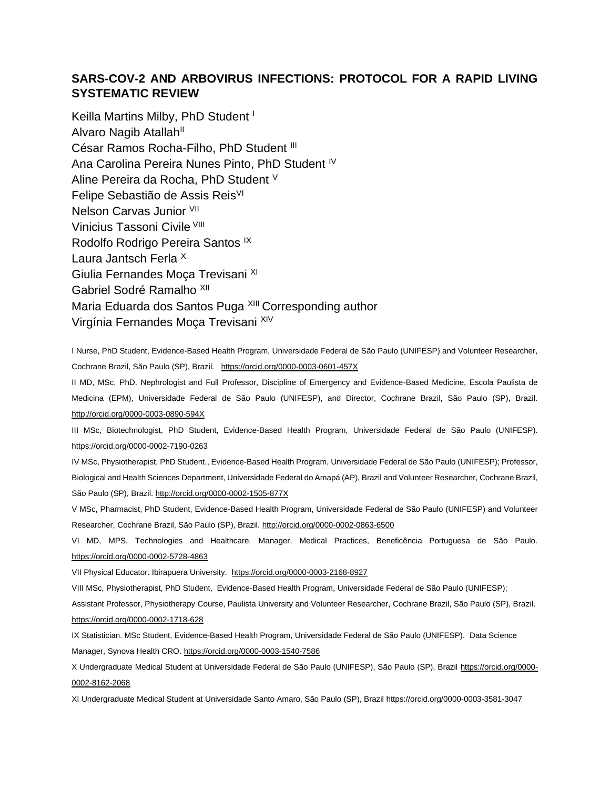# **SARS-COV-2 AND ARBOVIRUS INFECTIONS: PROTOCOL FOR A RAPID LIVING SYSTEMATIC REVIEW**

Keilla Martins Milby, PhD Student<sup>1</sup> Alvaro Nagib Atallah<sup>II</sup> César Ramos Rocha-Filho, PhD Student III Ana Carolina Pereira Nunes Pinto, PhD Student <sup>IV</sup> Aline Pereira da Rocha, PhD Student <sup>V</sup> Felipe Sebastião de Assis Reis<sup>VI</sup> Nelson Carvas Junior VII Vinicius Tassoni Civile VIII Rodolfo Rodrigo Pereira Santos IX Laura Jantsch Ferla <sup>X</sup> Giulia Fernandes Moça Trevisani XI Gabriel Sodré Ramalho<sup>XII</sup> Maria Eduarda dos Santos Puga XIII Corresponding author Virgínia Fernandes Moça Trevisani XIV

I Nurse, PhD Student, Evidence-Based Health Program, Universidade Federal de São Paulo (UNIFESP) and Volunteer Researcher, Cochrane Brazil, São Paulo (SP), Brazil. <https://orcid.org/0000-0003-0601-457X>

II MD, MSc, PhD. Nephrologist and Full Professor, Discipline of Emergency and Evidence-Based Medicine, Escola Paulista de Medicina (EPM), Universidade Federal de São Paulo (UNIFESP), and Director, Cochrane Brazil, São Paulo (SP), Brazil. [http://orcid.org/0000-0003-0890-594X](http://www.scielo.br/scielo.php?script=sci_arttext&pid=S1516-31802019000200184&lng=en&nrm=iso&tlng=en)

III MSc, Biotechnologist, PhD Student, Evidence-Based Health Program, Universidade Federal de São Paulo (UNIFESP). <https://orcid.org/0000-0002-7190-0263>

IV MSc, Physiotherapist, PhD Student., Evidence-Based Health Program, Universidade Federal de São Paulo (UNIFESP); Professor, Biological and Health Sciences Department, Universidade Federal do Amapá (AP), Brazil and Volunteer Researcher, Cochrane Brazil, São Paulo (SP), Brazil.<http://orcid.org/0000-0002-1505-877X>

V MSc, Pharmacist, PhD Student, Evidence-Based Health Program, Universidade Federal de São Paulo (UNIFESP) and Volunteer Researcher, Cochrane Brazil, São Paulo (SP), Brazil.<http://orcid.org/0000-0002-0863-6500>

VI MD, MPS, Technologies and Healthcare. Manager, Medical Practices, Beneficência Portuguesa de São Paulo. <https://orcid.org/0000-0002-5728-4863>

VII Physical Educator. Ibirapuera University.<https://orcid.org/0000-0003-2168-8927>

VIII MSc, Physiotherapist, PhD Student, Evidence-Based Health Program, Universidade Federal de São Paulo (UNIFESP);

Assistant Professor, Physiotherapy Course, Paulista University and Volunteer Researcher, Cochrane Brazil, São Paulo (SP), Brazil. <https://orcid.org/0000-0002-1718-628>

IX Statistician. MSc Student, Evidence-Based Health Program, Universidade Federal de São Paulo (UNIFESP). Data Science Manager, Synova Health CRO. <https://orcid.org/0000-0003-1540-7586>

X Undergraduate Medical Student at Universidade Federal de São Paulo (UNIFESP), São Paulo (SP), Brazil [https://orcid.org/0000-](https://orcid.org/0000-0002-8162-2068) [0002-8162-2068](https://orcid.org/0000-0002-8162-2068)

XI Undergraduate Medical Student at Universidade Santo Amaro, São Paulo (SP), Brazi[l https://orcid.org/0000-0003-3581-3047](https://orcid.org/0000-0003-3581-3047)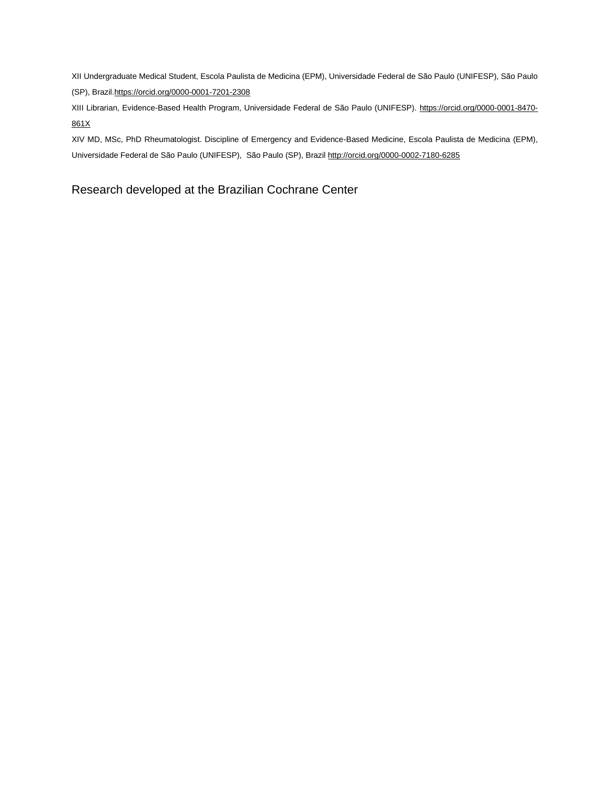XII Undergraduate Medical Student, Escola Paulista de Medicina (EPM), Universidade Federal de São Paulo (UNIFESP), São Paulo (SP), Brazi[l.https://orcid.org/0000-0001-7201-2308](https://orcid.org/0000-0001-7201-2308)

XIII Librarian, Evidence-Based Health Program, Universidade Federal de São Paulo (UNIFESP). https://orcid.org/0000-0001-8470- 861X

XIV MD, MSc, PhD Rheumatologist. Discipline of Emergency and Evidence-Based Medicine, Escola Paulista de Medicina (EPM), Universidade Federal de São Paulo (UNIFESP), São Paulo (SP), Brazil<http://orcid.org/0000-0002-7180-6285>

# Research developed at the Brazilian Cochrane Center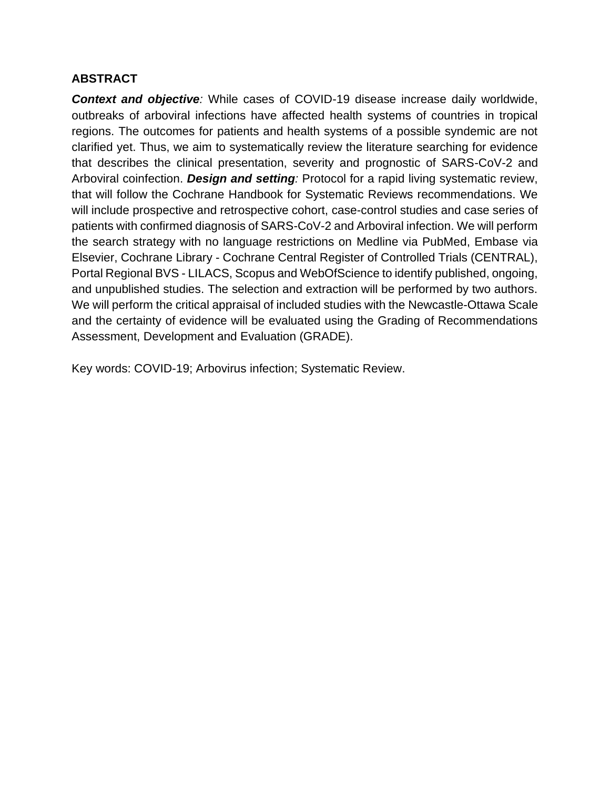# **ABSTRACT**

*Context and objective:* While cases of COVID-19 disease increase daily worldwide, outbreaks of arboviral infections have affected health systems of countries in tropical regions. The outcomes for patients and health systems of a possible syndemic are not clarified yet. Thus, we aim to systematically review the literature searching for evidence that describes the clinical presentation, severity and prognostic of SARS-CoV-2 and Arboviral coinfection. *Design and setting:* Protocol for a rapid living systematic review, that will follow the Cochrane Handbook for Systematic Reviews recommendations. We will include prospective and retrospective cohort, case-control studies and case series of patients with confirmed diagnosis of SARS-CoV-2 and Arboviral infection. We will perform the search strategy with no language restrictions on Medline via PubMed, Embase via Elsevier, Cochrane Library - Cochrane Central Register of Controlled Trials (CENTRAL), Portal Regional BVS - LILACS, Scopus and WebOfScience to identify published, ongoing, and unpublished studies. The selection and extraction will be performed by two authors. We will perform the critical appraisal of included studies with the Newcastle-Ottawa Scale and the certainty of evidence will be evaluated using the Grading of Recommendations Assessment, Development and Evaluation (GRADE).

Key words: COVID-19; Arbovirus infection; Systematic Review.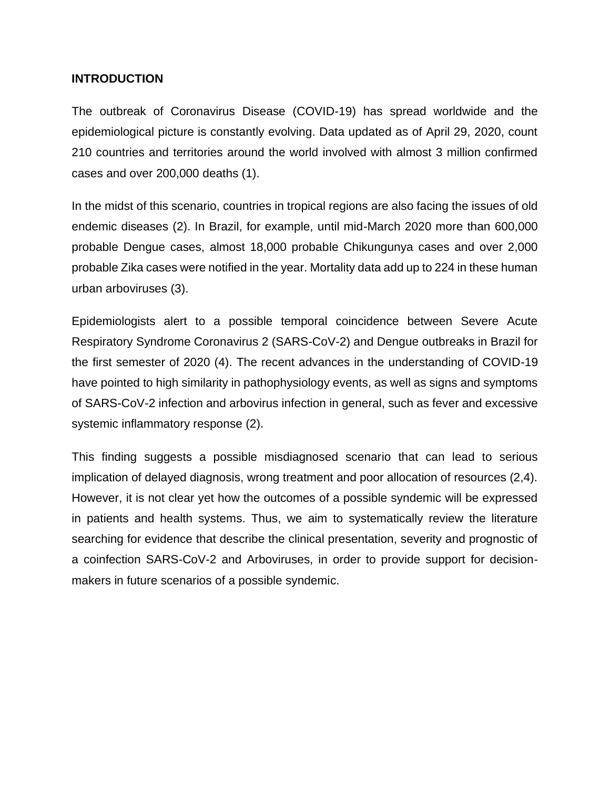### **INTRODUCTION**

The outbreak of Coronavirus Disease (COVID-19) has spread worldwide and the epidemiological picture is constantly evolving. Data updated as of April 29, 2020, count 210 countries and territories around the world involved with almost 3 million confirmed cases and over 200,000 deaths (1).

In the midst of this scenario, countries in tropical regions are also facing the issues of old endemic diseases (2). In Brazil, for example, until mid-March 2020 more than 600,000 probable Dengue cases, almost 18,000 probable Chikungunya cases and over 2,000 probable Zika cases were notified in the year. Mortality data add up to 224 in these human urban arboviruses (3).

Epidemiologists alert to a possible temporal coincidence between Severe Acute Respiratory Syndrome Coronavirus 2 (SARS-CoV-2) and Dengue outbreaks in Brazil for the first semester of 2020 (4). The recent advances in the understanding of COVID-19 have pointed to high similarity in pathophysiology events, as well as signs and symptoms of SARS-CoV-2 infection and arbovirus infection in general, such as fever and excessive systemic inflammatory response (2).

This finding suggests a possible misdiagnosed scenario that can lead to serious implication of delayed diagnosis, wrong treatment and poor allocation of resources (2,4). However, it is not clear yet how the outcomes of a possible syndemic will be expressed in patients and health systems. Thus, we aim to systematically review the literature searching for evidence that describe the clinical presentation, severity and prognostic of a coinfection SARS-CoV-2 and Arboviruses, in order to provide support for decisionmakers in future scenarios of a possible syndemic.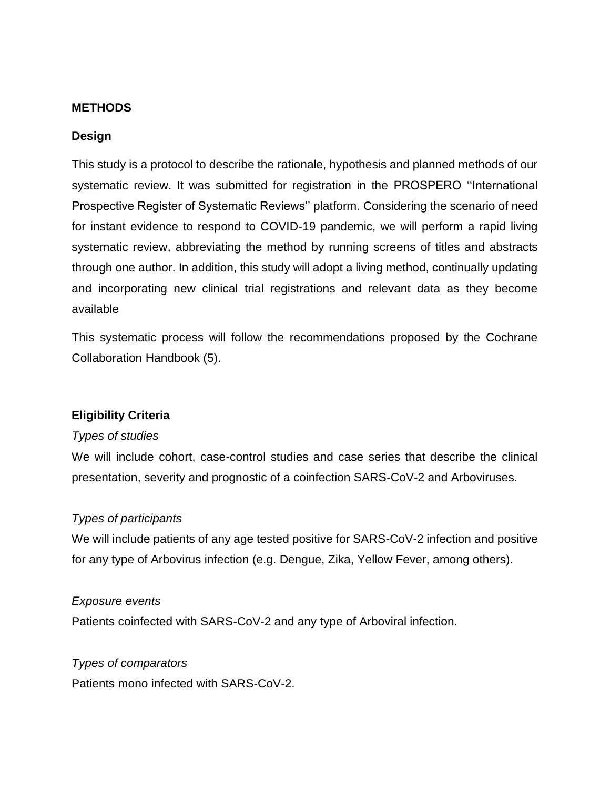### **METHODS**

### **Design**

This study is a protocol to describe the rationale, hypothesis and planned methods of our systematic review. It was submitted for registration in the PROSPERO ''International Prospective Register of Systematic Reviews'' platform. Considering the scenario of need for instant evidence to respond to COVID-19 pandemic, we will perform a rapid living systematic review, abbreviating the method by running screens of titles and abstracts through one author. In addition, this study will adopt a living method, continually updating and incorporating new clinical trial registrations and relevant data as they become available

This systematic process will follow the recommendations proposed by the Cochrane Collaboration Handbook (5).

# **Eligibility Criteria**

### *Types of studies*

We will include cohort, case-control studies and case series that describe the clinical presentation, severity and prognostic of a coinfection SARS-CoV-2 and Arboviruses.

### *Types of participants*

We will include patients of any age tested positive for SARS-CoV-2 infection and positive for any type of Arbovirus infection (e.g. Dengue, Zika, Yellow Fever, among others).

### *Exposure events*

Patients coinfected with SARS-CoV-2 and any type of Arboviral infection.

### *Types of comparators*

Patients mono infected with SARS-CoV-2.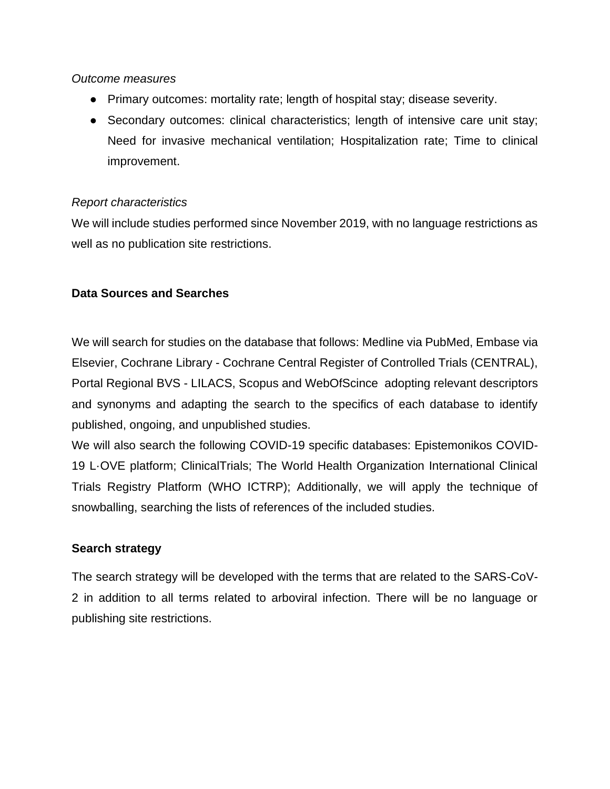### *Outcome measures*

- Primary outcomes: mortality rate; length of hospital stay; disease severity.
- Secondary outcomes: clinical characteristics; length of intensive care unit stay; Need for invasive mechanical ventilation; Hospitalization rate; Time to clinical improvement.

# *Report characteristics*

We will include studies performed since November 2019, with no language restrictions as well as no publication site restrictions.

# **Data Sources and Searches**

We will search for studies on the database that follows: Medline via PubMed, Embase via Elsevier, Cochrane Library - Cochrane Central Register of Controlled Trials (CENTRAL), Portal Regional BVS - LILACS, Scopus and WebOfScince adopting relevant descriptors and synonyms and adapting the search to the specifics of each database to identify published, ongoing, and unpublished studies.

We will also search the following COVID-19 specific databases: Epistemonikos COVID-19 L·OVE platform; ClinicalTrials; The World Health Organization International Clinical Trials Registry Platform (WHO ICTRP); Additionally, we will apply the technique of snowballing, searching the lists of references of the included studies.

# **Search strategy**

The search strategy will be developed with the terms that are related to the SARS-CoV-2 in addition to all terms related to arboviral infection. There will be no language or publishing site restrictions.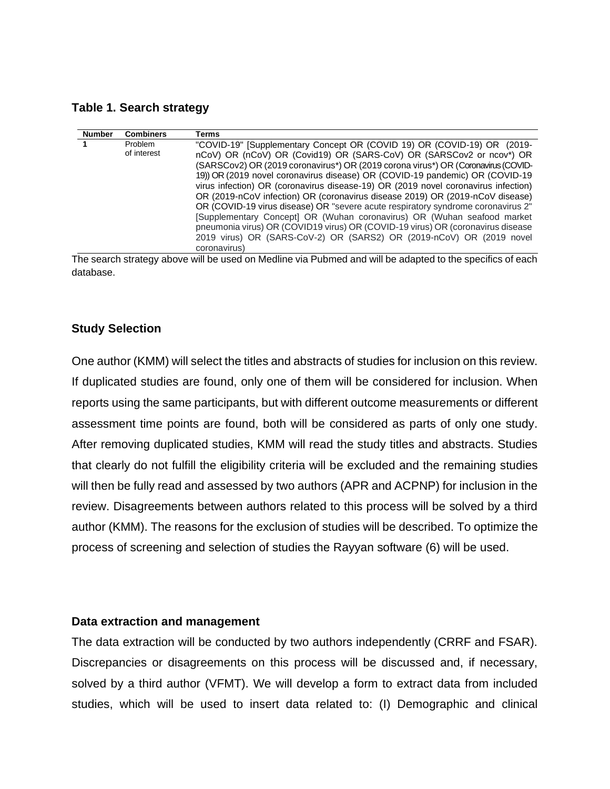**Table 1. Search strategy**

| Problem<br>"COVID-19" [Supplementary Concept OR (COVID 19) OR (COVID-19) OR (2019-  |  |
|-------------------------------------------------------------------------------------|--|
|                                                                                     |  |
| of interest<br>nCoV) OR (nCoV) OR (Covid19) OR (SARS-CoV) OR (SARSCov2 or ncov*) OR |  |
| (SARSCov2) OR (2019 coronavirus*) OR (2019 corona virus*) OR (Coronavirus (COVID-   |  |
| 19) OR (2019 novel coronavirus disease) OR (COVID-19 pandemic) OR (COVID-19         |  |
| virus infection) OR (coronavirus disease-19) OR (2019 novel coronavirus infection)  |  |
| OR (2019-nCoV infection) OR (coronavirus disease 2019) OR (2019-nCoV disease)       |  |
| OR (COVID-19 virus disease) OR "severe acute respiratory syndrome coronavirus 2"    |  |
| [Supplementary Concept] OR (Wuhan coronavirus) OR (Wuhan seafood market             |  |
| pneumonia virus) OR (COVID19 virus) OR (COVID-19 virus) OR (coronavirus disease     |  |
| 2019 virus) OR (SARS-CoV-2) OR (SARS2) OR (2019-nCoV) OR (2019 novel                |  |
| coronavirus)                                                                        |  |

The search strategy above will be used on Medline via Pubmed and will be adapted to the specifics of each database.

### **Study Selection**

One author (KMM) will select the titles and abstracts of studies for inclusion on this review. If duplicated studies are found, only one of them will be considered for inclusion. When reports using the same participants, but with different outcome measurements or different assessment time points are found, both will be considered as parts of only one study. After removing duplicated studies, KMM will read the study titles and abstracts. Studies that clearly do not fulfill the eligibility criteria will be excluded and the remaining studies will then be fully read and assessed by two authors (APR and ACPNP) for inclusion in the review. Disagreements between authors related to this process will be solved by a third author (KMM). The reasons for the exclusion of studies will be described. To optimize the process of screening and selection of studies the Rayyan software (6) will be used.

#### **Data extraction and management**

The data extraction will be conducted by two authors independently (CRRF and FSAR). Discrepancies or disagreements on this process will be discussed and, if necessary, solved by a third author (VFMT). We will develop a form to extract data from included studies, which will be used to insert data related to: (I) Demographic and clinical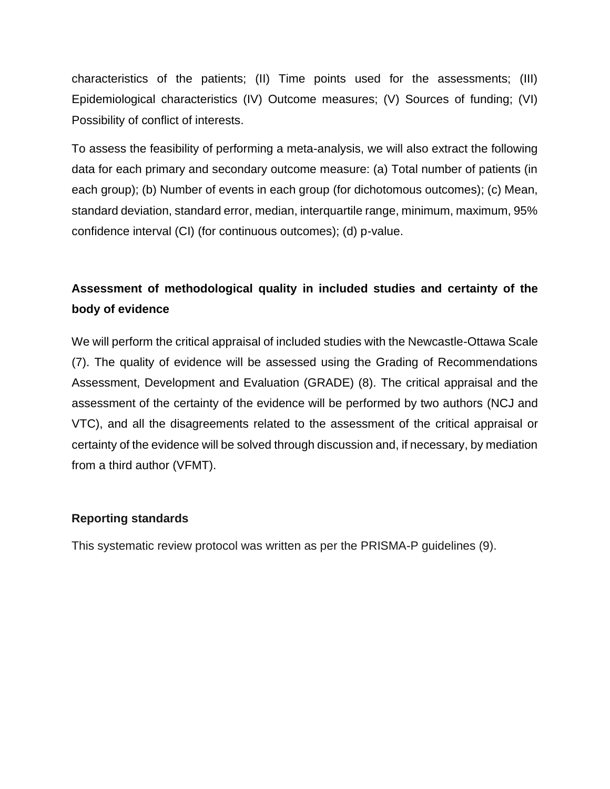characteristics of the patients; (II) Time points used for the assessments; (III) Epidemiological characteristics (IV) Outcome measures; (V) Sources of funding; (VI) Possibility of conflict of interests.

To assess the feasibility of performing a meta-analysis, we will also extract the following data for each primary and secondary outcome measure: (a) Total number of patients (in each group); (b) Number of events in each group (for dichotomous outcomes); (c) Mean, standard deviation, standard error, median, interquartile range, minimum, maximum, 95% confidence interval (CI) (for continuous outcomes); (d) p-value.

# **Assessment of methodological quality in included studies and certainty of the body of evidence**

We will perform the critical appraisal of included studies with the Newcastle-Ottawa Scale (7). The quality of evidence will be assessed using the Grading of Recommendations Assessment, Development and Evaluation (GRADE) (8). The critical appraisal and the assessment of the certainty of the evidence will be performed by two authors (NCJ and VTC), and all the disagreements related to the assessment of the critical appraisal or certainty of the evidence will be solved through discussion and, if necessary, by mediation from a third author (VFMT).

# **Reporting standards**

This systematic review protocol was written as per the PRISMA-P guidelines (9).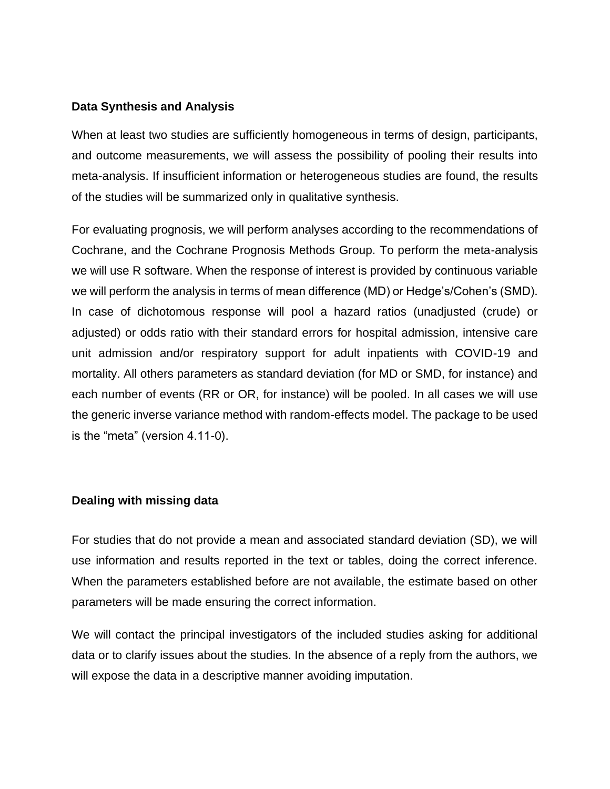### **Data Synthesis and Analysis**

When at least two studies are sufficiently homogeneous in terms of design, participants, and outcome measurements, we will assess the possibility of pooling their results into meta-analysis. If insufficient information or heterogeneous studies are found, the results of the studies will be summarized only in qualitative synthesis.

For evaluating prognosis, we will perform analyses according to the recommendations of Cochrane, and the Cochrane Prognosis Methods Group. To perform the meta-analysis we will use R software. When the response of interest is provided by continuous variable we will perform the analysis in terms of mean difference (MD) or Hedge's/Cohen's (SMD). In case of dichotomous response will pool a hazard ratios (unadjusted (crude) or adjusted) or odds ratio with their standard errors for hospital admission, intensive care unit admission and/or respiratory support for adult inpatients with COVID-19 and mortality. All others parameters as standard deviation (for MD or SMD, for instance) and each number of events (RR or OR, for instance) will be pooled. In all cases we will use the generic inverse variance method with random-effects model. The package to be used is the "meta" (version 4.11-0).

# **Dealing with missing data**

For studies that do not provide a mean and associated standard deviation (SD), we will use information and results reported in the text or tables, doing the correct inference. When the parameters established before are not available, the estimate based on other parameters will be made ensuring the correct information.

We will contact the principal investigators of the included studies asking for additional data or to clarify issues about the studies. In the absence of a reply from the authors, we will expose the data in a descriptive manner avoiding imputation.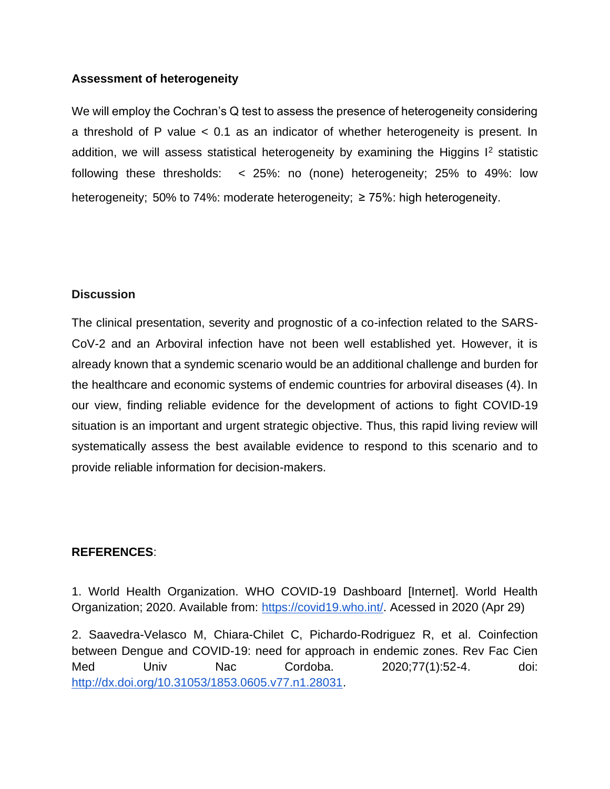# **Assessment of heterogeneity**

We will employ the Cochran's Q test to assess the presence of heterogeneity considering a threshold of P value < 0.1 as an indicator of whether heterogeneity is present. In addition, we will assess statistical heterogeneity by examining the Higgins  $I^2$  statistic following these thresholds: < 25%: no (none) heterogeneity; 25% to 49%: low heterogeneity; 50% to 74%: moderate heterogeneity; ≥ 75%: high heterogeneity.

# **Discussion**

The clinical presentation, severity and prognostic of a co-infection related to the SARS-CoV-2 and an Arboviral infection have not been well established yet. However, it is already known that a syndemic scenario would be an additional challenge and burden for the healthcare and economic systems of endemic countries for arboviral diseases (4). In our view, finding reliable evidence for the development of actions to fight COVID-19 situation is an important and urgent strategic objective. Thus, this rapid living review will systematically assess the best available evidence to respond to this scenario and to provide reliable information for decision-makers.

# **REFERENCES**:

1. World Health Organization. WHO COVID-19 Dashboard [Internet]. World Health Organization; 2020. Available from[:](https://covid19.who.int/) [https://covid19.who.int/.](https://covid19.who.int/) Acessed in 2020 (Apr 29)

2. Saavedra-Velasco M, Chiara-Chilet C, Pichardo-Rodriguez R, et al. Coinfection between Dengue and COVID-19: need for approach in endemic zones. Rev Fac Cien Med Univ Nac Cordoba. 2020;77(1):52-4. doi[:](http://dx.doi.org/10.31053/1853.0605.v77.n1.28031) [http://dx.doi.org/10.31053/1853.0605.v77.n1.28031.](http://dx.doi.org/10.31053/1853.0605.v77.n1.28031)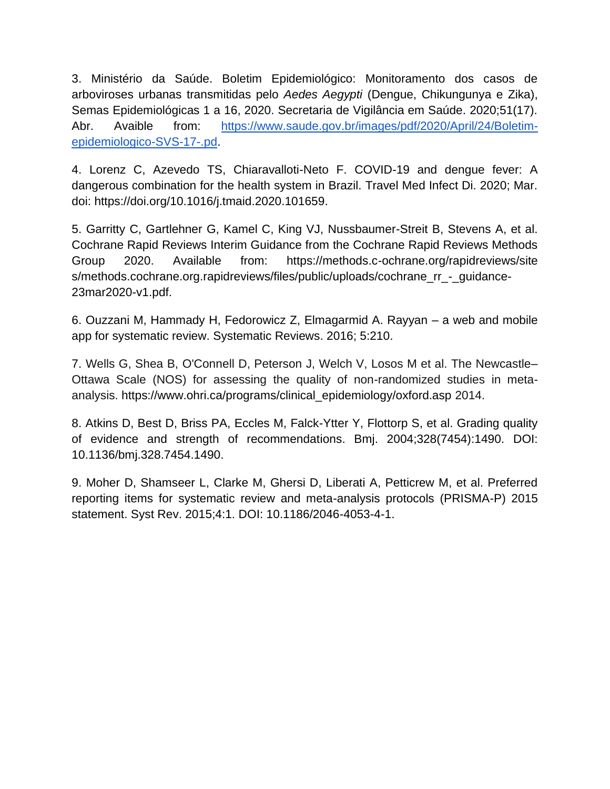3. Ministério da Saúde. Boletim Epidemiológico: Monitoramento dos casos de arboviroses urbanas transmitidas pelo *Aedes Aegypti* (Dengue, Chikungunya e Zika), Semas Epidemiológicas 1 a 16, 2020. Secretaria de Vigilância em Saúde. 2020;51(17). Abr. Avaible from[:](https://www.saude.gov.br/images/pdf/2020/April/24/Boletim-epidemiologico-SVS-17-.pdf) [https://www.saude.gov.br/images/pdf/2020/April/24/Boletim](https://www.saude.gov.br/images/pdf/2020/April/24/Boletim-epidemiologico-SVS-17-.pdf)[epidemiologico-SVS-17-.pd.](https://www.saude.gov.br/images/pdf/2020/April/24/Boletim-epidemiologico-SVS-17-.pdf)

4. Lorenz C, Azevedo TS, Chiaravalloti-Neto F. COVID-19 and dengue fever: A dangerous combination for the health system in Brazil. Travel Med Infect Di. 2020; Mar. doi: https://doi.org/10.1016/j.tmaid.2020.101659.

5. Garritty C, Gartlehner G, Kamel C, King VJ, Nussbaumer-Streit B, Stevens A, et al. Cochrane Rapid Reviews Interim Guidance from the Cochrane Rapid Reviews Methods Group 2020. Available from: https://methods.c-ochrane.org/rapidreviews/site s/methods.cochrane.org.rapidreviews/files/public/uploads/cochrane\_rr -\_quidance-23mar2020-v1.pdf.

6. Ouzzani M, Hammady H, Fedorowicz Z, Elmagarmid A. Rayyan – a web and mobile app for systematic review. Systematic Reviews. 2016; 5:210.

7. Wells G, Shea B, O'Connell D, Peterson J, Welch V, Losos M et al. The Newcastle– Ottawa Scale (NOS) for assessing the quality of non-randomized studies in metaanalysis[.](https://www.ohri.ca/programs/clinical_epidemiology/oxford.asp) [https://www.ohri.ca/programs/clinical\\_epidemiology/oxford.asp](https://www.ohri.ca/programs/clinical_epidemiology/oxford.asp) 2014.

8. Atkins D, Best D, Briss PA, Eccles M, Falck-Ytter Y, Flottorp S, et al. Grading quality of evidence and strength of recommendations. Bmj. 2004;328(7454):1490. DOI: 10.1136/bmj.328.7454.1490.

9. Moher D, Shamseer L, Clarke M, Ghersi D, Liberati A, Petticrew M, et al. Preferred reporting items for systematic review and meta-analysis protocols (PRISMA-P) 2015 statement. Syst Rev. 2015;4:1. DOI: 10.1186/2046-4053-4-1.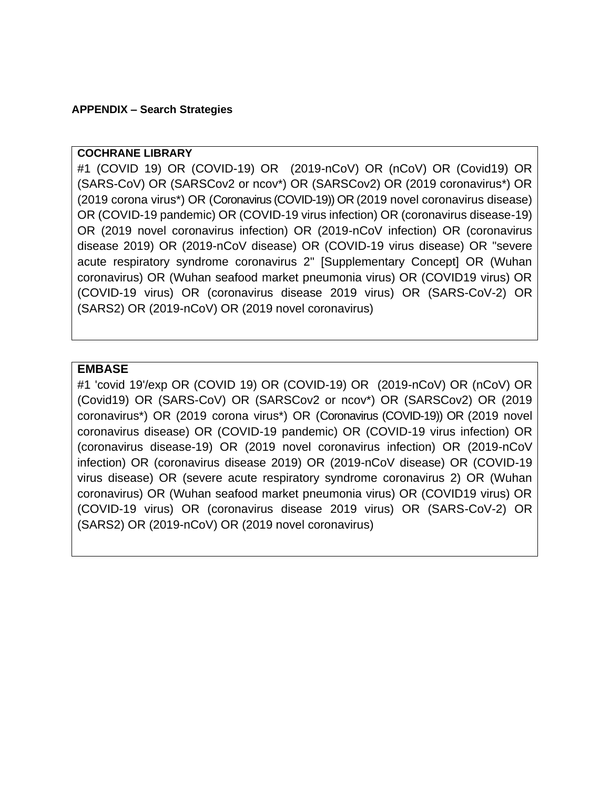### **APPENDIX – Search Strategies**

### **COCHRANE LIBRARY**

#1 (COVID 19) OR (COVID-19) OR (2019-nCoV) OR (nCoV) OR (Covid19) OR (SARS-CoV) OR (SARSCov2 or ncov\*) OR (SARSCov2) OR (2019 coronavirus\*) OR (2019 corona virus\*) OR (Coronavirus (COVID-19)) OR (2019 novel coronavirus disease) OR (COVID-19 pandemic) OR (COVID-19 virus infection) OR (coronavirus disease-19) OR (2019 novel coronavirus infection) OR (2019-nCoV infection) OR (coronavirus disease 2019) OR (2019-nCoV disease) OR (COVID-19 virus disease) OR "severe acute respiratory syndrome coronavirus 2" [Supplementary Concept] OR (Wuhan coronavirus) OR (Wuhan seafood market pneumonia virus) OR (COVID19 virus) OR (COVID-19 virus) OR (coronavirus disease 2019 virus) OR (SARS-CoV-2) OR (SARS2) OR (2019-nCoV) OR (2019 novel coronavirus)

### **EMBASE**

#1 'covid 19'/exp OR (COVID 19) OR (COVID-19) OR (2019-nCoV) OR (nCoV) OR (Covid19) OR (SARS-CoV) OR (SARSCov2 or ncov\*) OR (SARSCov2) OR (2019 coronavirus\*) OR (2019 corona virus\*) OR (Coronavirus (COVID-19)) OR (2019 novel coronavirus disease) OR (COVID-19 pandemic) OR (COVID-19 virus infection) OR (coronavirus disease-19) OR (2019 novel coronavirus infection) OR (2019-nCoV infection) OR (coronavirus disease 2019) OR (2019-nCoV disease) OR (COVID-19 virus disease) OR (severe acute respiratory syndrome coronavirus 2) OR (Wuhan coronavirus) OR (Wuhan seafood market pneumonia virus) OR (COVID19 virus) OR (COVID-19 virus) OR (coronavirus disease 2019 virus) OR (SARS-CoV-2) OR (SARS2) OR (2019-nCoV) OR (2019 novel coronavirus)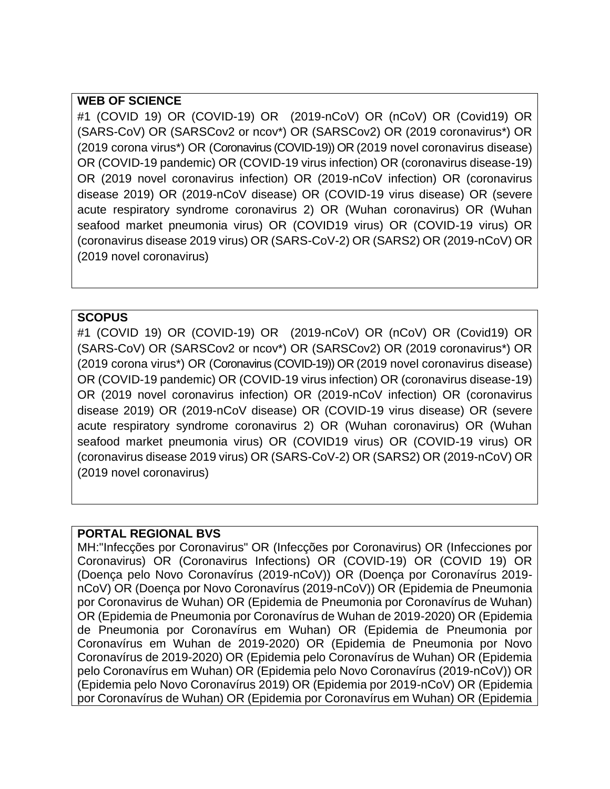# **WEB OF SCIENCE**

#1 (COVID 19) OR (COVID-19) OR (2019-nCoV) OR (nCoV) OR (Covid19) OR (SARS-CoV) OR (SARSCov2 or ncov\*) OR (SARSCov2) OR (2019 coronavirus\*) OR (2019 corona virus\*) OR (Coronavirus (COVID-19)) OR (2019 novel coronavirus disease) OR (COVID-19 pandemic) OR (COVID-19 virus infection) OR (coronavirus disease-19) OR (2019 novel coronavirus infection) OR (2019-nCoV infection) OR (coronavirus disease 2019) OR (2019-nCoV disease) OR (COVID-19 virus disease) OR (severe acute respiratory syndrome coronavirus 2) OR (Wuhan coronavirus) OR (Wuhan seafood market pneumonia virus) OR (COVID19 virus) OR (COVID-19 virus) OR (coronavirus disease 2019 virus) OR (SARS-CoV-2) OR (SARS2) OR (2019-nCoV) OR (2019 novel coronavirus)

# **SCOPUS**

#1 (COVID 19) OR (COVID-19) OR (2019-nCoV) OR (nCoV) OR (Covid19) OR (SARS-CoV) OR (SARSCov2 or ncov\*) OR (SARSCov2) OR (2019 coronavirus\*) OR (2019 corona virus\*) OR (Coronavirus (COVID-19)) OR (2019 novel coronavirus disease) OR (COVID-19 pandemic) OR (COVID-19 virus infection) OR (coronavirus disease-19) OR (2019 novel coronavirus infection) OR (2019-nCoV infection) OR (coronavirus disease 2019) OR (2019-nCoV disease) OR (COVID-19 virus disease) OR (severe acute respiratory syndrome coronavirus 2) OR (Wuhan coronavirus) OR (Wuhan seafood market pneumonia virus) OR (COVID19 virus) OR (COVID-19 virus) OR (coronavirus disease 2019 virus) OR (SARS-CoV-2) OR (SARS2) OR (2019-nCoV) OR (2019 novel coronavirus)

# **PORTAL REGIONAL BVS**

MH:"Infecções por Coronavirus" OR (Infecções por Coronavirus) OR (Infecciones por Coronavirus) OR (Coronavirus Infections) OR (COVID-19) OR (COVID 19) OR (Doença pelo Novo Coronavírus (2019-nCoV)) OR (Doença por Coronavírus 2019 nCoV) OR (Doença por Novo Coronavírus (2019-nCoV)) OR (Epidemia de Pneumonia por Coronavirus de Wuhan) OR (Epidemia de Pneumonia por Coronavírus de Wuhan) OR (Epidemia de Pneumonia por Coronavírus de Wuhan de 2019-2020) OR (Epidemia de Pneumonia por Coronavírus em Wuhan) OR (Epidemia de Pneumonia por Coronavírus em Wuhan de 2019-2020) OR (Epidemia de Pneumonia por Novo Coronavírus de 2019-2020) OR (Epidemia pelo Coronavírus de Wuhan) OR (Epidemia pelo Coronavírus em Wuhan) OR (Epidemia pelo Novo Coronavírus (2019-nCoV)) OR (Epidemia pelo Novo Coronavírus 2019) OR (Epidemia por 2019-nCoV) OR (Epidemia por Coronavírus de Wuhan) OR (Epidemia por Coronavírus em Wuhan) OR (Epidemia